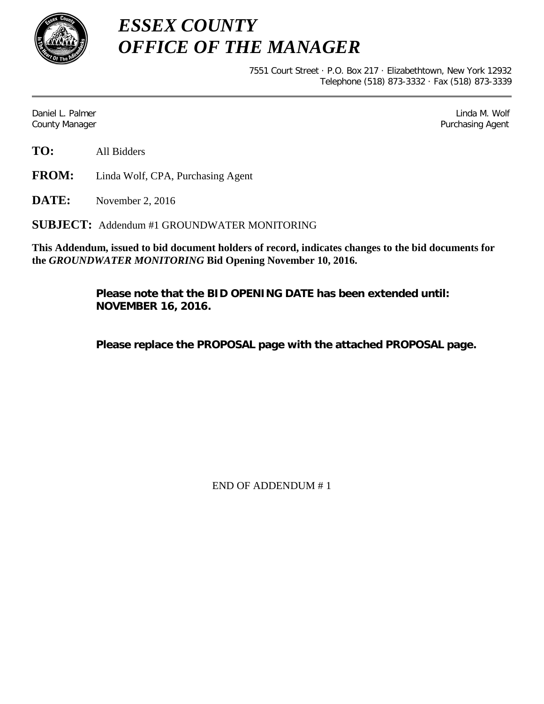

*ESSEX COUNTY OFFICE OF THE MANAGER*

> 7551 Court Street · P.O. Box 217 · Elizabethtown, New York 12932 Telephone (518) 873-3332 · Fax (518) 873-3339

Daniel L. Palmer Linda M. Wolf County Manager Purchasing Agent

**FROM:** Linda Wolf, CPA, Purchasing Agent

**DATE:** November 2, 2016

**SUBJECT:** Addendum #1 GROUNDWATER MONITORING

**This Addendum, issued to bid document holders of record, indicates changes to the bid documents for the** *GROUNDWATER MONITORING* **Bid Opening November 10, 2016.**

> **Please note that the BID OPENING DATE has been extended until: NOVEMBER 16, 2016.**

**Please replace the PROPOSAL page with the attached PROPOSAL page.**

END OF ADDENDUM # 1